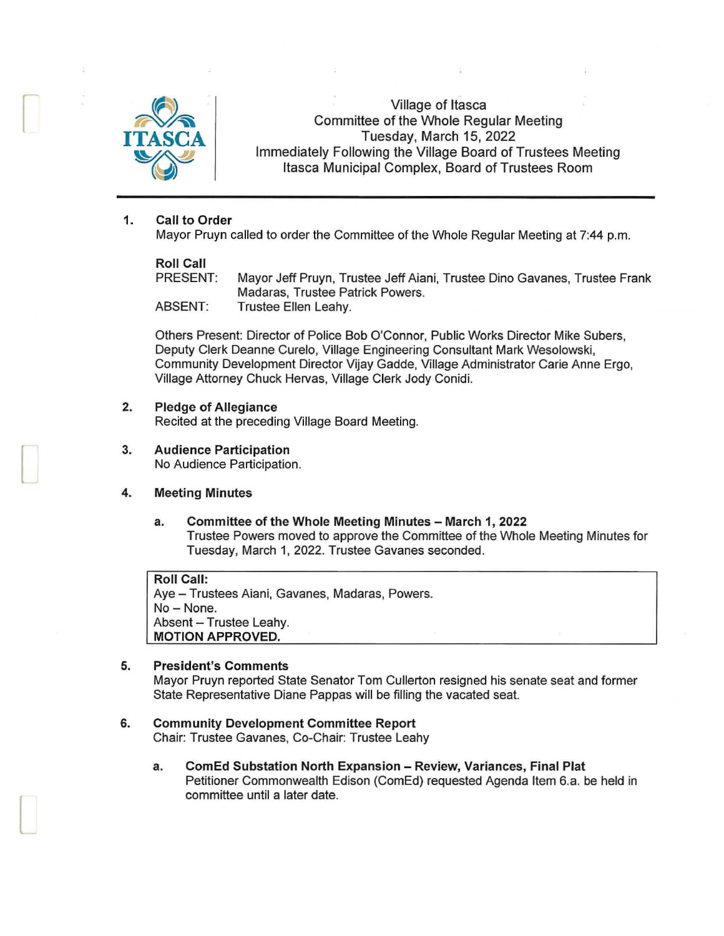

r

I

 $\Box$ 

Village of Itasca Committee of the Whole Regular Meeting **Tuesday, March 15, 2022** Immediately Following the Village Board of Trustees Meeting Itasca Municipal Complex, Board of Trustees Room

# 1. Call to Order

Mayor Pruyn called to order the Committee of the Whole Regular Meeting at 7:44 p.m.

# Roll Call<br>PRESENT:

Mayor Jeff Pruyn, Trustee Jeff Aiani, Trustee Dino Gavanes, Trustee Frank Madaras, Trustee Patrick Powers. ABSENT: Trustee Ellen Leahy.

Others Present: Director of Police Bob O'Connor, Public Works Director Mike Subers, Deputy Clerk Deanne Curelo, Village Engineering Consultant Mark Wesolowski, Community Development Director Vijay Gadde, Village Administrator Carie Anne Ergo, Village Attorney Chuck Hervas, Village Clerk Jody Conidi.

# 2. Pledge of Allegiance

Recited at the preceding Village Board Meeting.

# 3. Audience Participation

No Audience Participation.

# 4. Meeting Minutes

a. Committee of the Whole Meeting Minutes - March 1, 2022 Trustee Powers moved to approve the Committee of the Whole Meeting Minutes for Tuesday, March 1, 2022. Trustee Gavanes seconded.

# Roll Call:

Aye - Trustees Aiani, Gavanes, Madaras, Powers. No-None. Absent - Trustee Leahy. MOTION APPROVED.

### 5. President's Comments

Mayor Pruyn reported State Senator Tom Cullerton resigned his senate seat and former State Representative Diane Pappas will be filling the vacated seat.

### 6. Community Development Committee Report

Chair: Trustee Gavanes, Co-Chair: Trustee Leahy

a. ComEd Substation North Expansion - Review, Variances, Final Plat Petitioner Commonwealth Edison (ComEd) requested Agenda Item 6.a. be held in committee until a later date.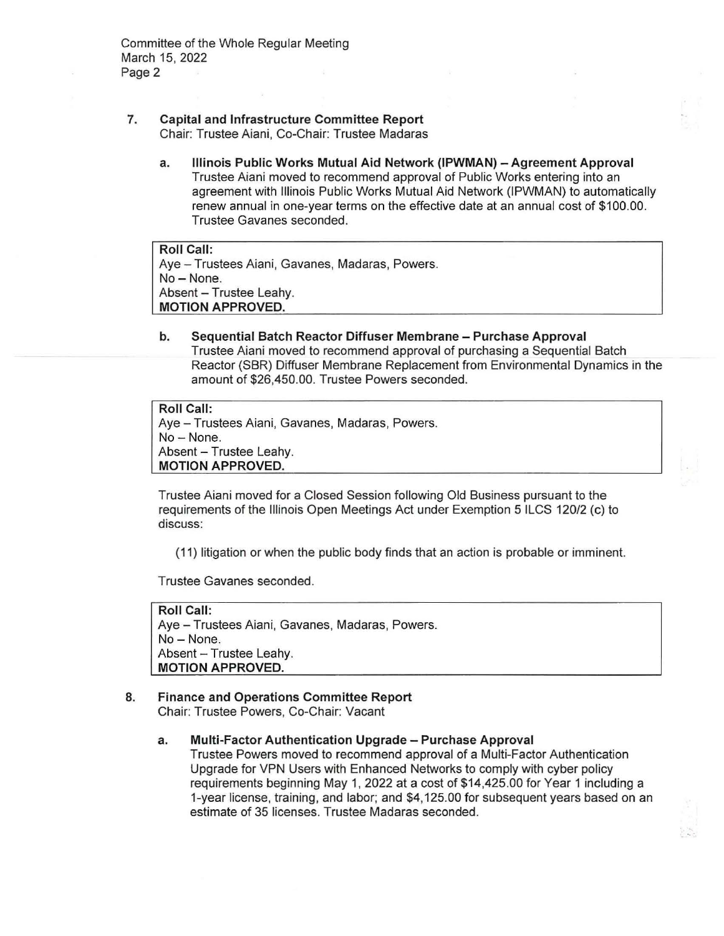- **7. Capital and Infrastructure Committee Report**  Chair: Trustee Aiani, Co-Chair: Trustee Madaras
	- **a. Illinois Public Works Mutual Aid Network (IPWMAN) - Agreement Approval**  Trustee Aiani moved to recommend approval of Public Works entering into an agreement with Illinois Public Works Mutual Aid Network (IPWMAN) to automatically renew annual in one-year terms on the effective date at an annual cost of \$100.00. Trustee Gavanes seconded.

**Roll Call:**  Aye - Trustees Aiani, Gavanes, Madaras, Powers. No-None. Absent - Trustee Leahy. **MOTION APPROVED.** 

**b. Sequential Batch Reactor Diffuser Membrane - Purchase Approval**  Trustee Aiani moved to recommend approval of purchasing a Sequential Batch Reactor (SBR) Diffuser Membrane Replacement from Environmental Dynamics in the amount of \$26,450.00. Trustee Powers seconded.

```
Roll Call: 
Ave - Trustees Aiani, Gavanes, Madaras, Powers.
No - None.
Absent - Trustee Leahy.
MOTION APPROVED.
```
Trustee Aiani moved for a Closed Session following Old Business pursuant to the requirements of the Illinois Open Meetings Act under Exemption 5 ILCS 120/2 (c) to discuss:

(11) litigation or when the public body finds that an action is probable or imminent.

Trustee Gavanes seconded.

**Roll Call:**  Aye - Trustees Aiani, Gavanes, Madaras, Powers. No- None. Absent - Trustee Leahy. **MOTION APPROVED.** 

# **8. Finance and Operations Committee Report**

Chair: Trustee Powers, Co-Chair: Vacant

**a. Multi-Factor Authentication Upgrade - Purchase Approval** 

Trustee Powers moved to recommend approval of a Multi-Factor Authentication Upgrade for VPN Users with Enhanced Networks to comply with cyber policy requirements beginning May 1, 2022 at a cost of \$14,425.00 for Year 1 including a 1-year license, training, and labor; and \$4, 125.00 for subsequent years based on an estimate of 35 licenses. Trustee Madaras seconded.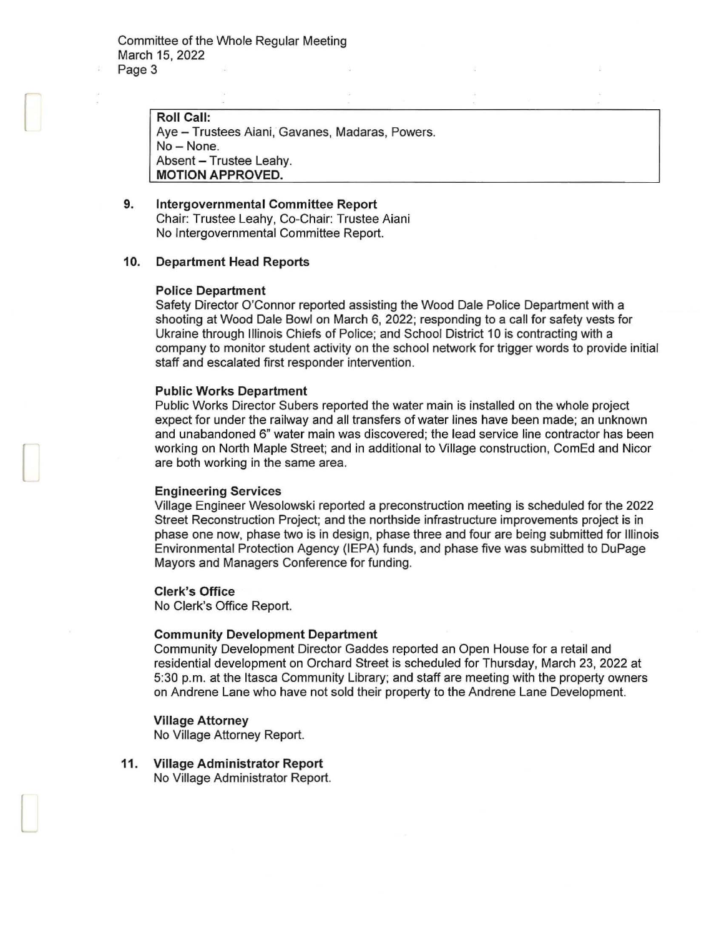Roll Call: Aye - Trustees Aiani, Gavanes, Madaras, Powers. No- None. Absent - Trustee Leahy. MOTION APPROVED.

9. Intergovernmental Committee Report Chair: Trustee Leahy, Co-Chair: Trustee Aiani No Intergovernmental Committee Report.

#### 10. Department Head Reports

#### Police Department

f

 $\Box$ 

l

Safety Director O'Connor reported assisting the Wood Dale Police Department with a shooting at Wood Dale Bowl on March 6, 2022; responding to a call for safety vests for Ukraine through Illinois Chiefs of Police; and School District 10 is contracting with a company to monitor student activity on the school network for trigger words to provide initial staff and escalated first responder intervention.

### Public Works Department

Public Works Director Subers reported the water main is installed on the whole project expect for under the railway and all transfers of water lines have been made; an unknown and unabandoned 6" water main was discovered; the lead service line contractor has been working on North Maple Street; and in additional to Village construction, ComEd and Nicor are both working in the same area.

#### Engineering Services

Village Engineer Wesolowski reported a preconstruction meeting is scheduled for the 2022 Street Reconstruction Project; and the northside infrastructure improvements project is in phase one now, phase two is in design, phase three and four are being submitted for Illinois Environmental Protection Agency (IEPA) funds, and phase five was submitted to DuPage Mayors and Managers Conference for funding.

#### Clerk's Office

No Clerk's Office Report.

#### Community Development Department

Community Development Director Gaddes reported an Open House for a retail and residential development on Orchard Street is scheduled for Thursday, March 23, 2022 at 5:30 p.m. at the Itasca Community Library; and staff are meeting with the property owners on Andrene Lane who have not sold their property to the Andrene Lane Development.

### Village Attorney

No Village Attorney Report.

11. Village Administrator Report No Village Administrator Report.